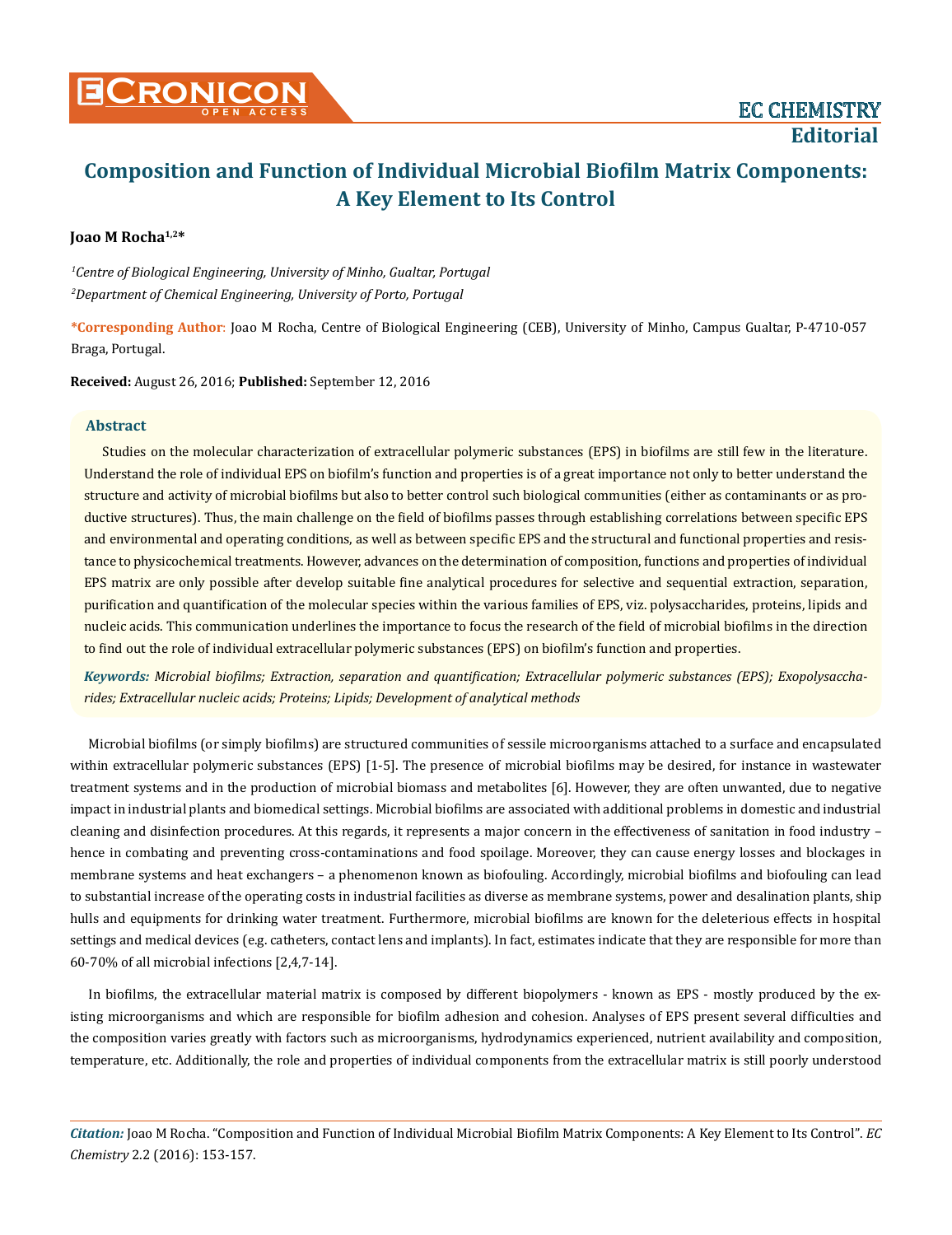# **Joao M Rocha1,2\***

*1 Centre of Biological Engineering, University of Minho, Gualtar, Portugal 2 Department of Chemical Engineering, University of Porto, Portugal*

**\*Corresponding Author**: Joao M Rocha, Centre of Biological Engineering (CEB), University of Minho, Campus Gualtar, P-4710-057 Braga, Portugal.

**Received:** August 26, 2016; **Published:** September 12, 2016

## **Abstract**

Studies on the molecular characterization of extracellular polymeric substances (EPS) in biofilms are still few in the literature. Understand the role of individual EPS on biofilm's function and properties is of a great importance not only to better understand the structure and activity of microbial biofilms but also to better control such biological communities (either as contaminants or as productive structures). Thus, the main challenge on the field of biofilms passes through establishing correlations between specific EPS and environmental and operating conditions, as well as between specific EPS and the structural and functional properties and resistance to physicochemical treatments. However, advances on the determination of composition, functions and properties of individual EPS matrix are only possible after develop suitable fine analytical procedures for selective and sequential extraction, separation, purification and quantification of the molecular species within the various families of EPS, viz. polysaccharides, proteins, lipids and nucleic acids. This communication underlines the importance to focus the research of the field of microbial biofilms in the direction to find out the role of individual extracellular polymeric substances (EPS) on biofilm's function and properties.

*Keywords: Microbial biofilms; Extraction, separation and quantification; Extracellular polymeric substances (EPS); Exopolysaccharides; Extracellular nucleic acids; Proteins; Lipids; Development of analytical methods*

Microbial biofilms (or simply biofilms) are structured communities of sessile microorganisms attached to a surface and encapsulated within extracellular polymeric substances (EPS) [1-5]. The presence of microbial biofilms may be desired, for instance in wastewater treatment systems and in the production of microbial biomass and metabolites [6]. However, they are often unwanted, due to negative impact in industrial plants and biomedical settings. Microbial biofilms are associated with additional problems in domestic and industrial cleaning and disinfection procedures. At this regards, it represents a major concern in the effectiveness of sanitation in food industry – hence in combating and preventing cross-contaminations and food spoilage. Moreover, they can cause energy losses and blockages in membrane systems and heat exchangers – a phenomenon known as biofouling. Accordingly, microbial biofilms and biofouling can lead to substantial increase of the operating costs in industrial facilities as diverse as membrane systems, power and desalination plants, ship hulls and equipments for drinking water treatment. Furthermore, microbial biofilms are known for the deleterious effects in hospital settings and medical devices (e.g. catheters, contact lens and implants). In fact, estimates indicate that they are responsible for more than 60-70% of all microbial infections [2,4,7-14].

In biofilms, the extracellular material matrix is composed by different biopolymers - known as EPS - mostly produced by the existing microorganisms and which are responsible for biofilm adhesion and cohesion. Analyses of EPS present several difficulties and the composition varies greatly with factors such as microorganisms, hydrodynamics experienced, nutrient availability and composition, temperature, etc. Additionally, the role and properties of individual components from the extracellular matrix is still poorly understood

*Citation:* Joao M Rocha. "Composition and Function of Individual Microbial Biofilm Matrix Components: A Key Element to Its Control". *EC Chemistry* 2.2 (2016): 153-157.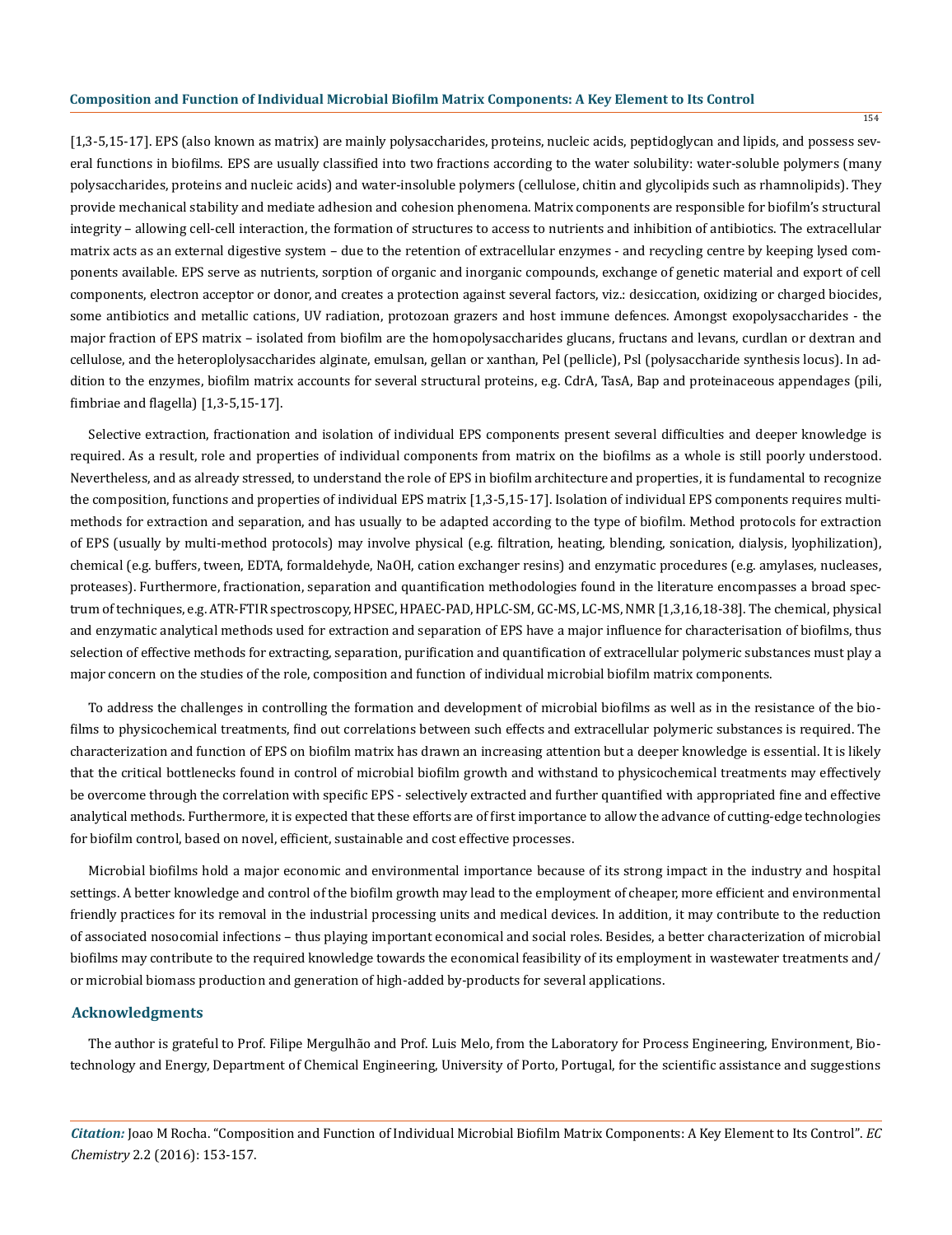[1,3-5,15-17]. EPS (also known as matrix) are mainly polysaccharides, proteins, nucleic acids, peptidoglycan and lipids, and possess several functions in biofilms. EPS are usually classified into two fractions according to the water solubility: water-soluble polymers (many polysaccharides, proteins and nucleic acids) and water-insoluble polymers (cellulose, chitin and glycolipids such as rhamnolipids). They provide mechanical stability and mediate adhesion and cohesion phenomena. Matrix components are responsible for biofilm's structural integrity – allowing cell-cell interaction, the formation of structures to access to nutrients and inhibition of antibiotics. The extracellular matrix acts as an external digestive system – due to the retention of extracellular enzymes - and recycling centre by keeping lysed components available. EPS serve as nutrients, sorption of organic and inorganic compounds, exchange of genetic material and export of cell components, electron acceptor or donor, and creates a protection against several factors, viz.: desiccation, oxidizing or charged biocides, some antibiotics and metallic cations, UV radiation, protozoan grazers and host immune defences. Amongst exopolysaccharides - the major fraction of EPS matrix – isolated from biofilm are the homopolysaccharides glucans, fructans and levans, curdlan or dextran and cellulose, and the heteroplolysaccharides alginate, emulsan, gellan or xanthan, Pel (pellicle), Psl (polysaccharide synthesis locus). In addition to the enzymes, biofilm matrix accounts for several structural proteins, e.g. CdrA, TasA, Bap and proteinaceous appendages (pili, fimbriae and flagella) [1,3-5,15-17].

Selective extraction, fractionation and isolation of individual EPS components present several difficulties and deeper knowledge is required. As a result, role and properties of individual components from matrix on the biofilms as a whole is still poorly understood. Nevertheless, and as already stressed, to understand the role of EPS in biofilm architecture and properties, it is fundamental to recognize the composition, functions and properties of individual EPS matrix [1,3-5,15-17]. Isolation of individual EPS components requires multimethods for extraction and separation, and has usually to be adapted according to the type of biofilm. Method protocols for extraction of EPS (usually by multi-method protocols) may involve physical (e.g. filtration, heating, blending, sonication, dialysis, lyophilization), chemical (e.g. buffers, tween, EDTA, formaldehyde, NaOH, cation exchanger resins) and enzymatic procedures (e.g. amylases, nucleases, proteases). Furthermore, fractionation, separation and quantification methodologies found in the literature encompasses a broad spectrum of techniques, e.g. ATR-FTIR spectroscopy, HPSEC, HPAEC-PAD, HPLC-SM, GC-MS, LC-MS, NMR [1,3,16,18-38]. The chemical, physical and enzymatic analytical methods used for extraction and separation of EPS have a major influence for characterisation of biofilms, thus selection of effective methods for extracting, separation, purification and quantification of extracellular polymeric substances must play a major concern on the studies of the role, composition and function of individual microbial biofilm matrix components.

To address the challenges in controlling the formation and development of microbial biofilms as well as in the resistance of the biofilms to physicochemical treatments, find out correlations between such effects and extracellular polymeric substances is required. The characterization and function of EPS on biofilm matrix has drawn an increasing attention but a deeper knowledge is essential. It is likely that the critical bottlenecks found in control of microbial biofilm growth and withstand to physicochemical treatments may effectively be overcome through the correlation with specific EPS - selectively extracted and further quantified with appropriated fine and effective analytical methods. Furthermore, it is expected that these efforts are of first importance to allow the advance of cutting-edge technologies for biofilm control, based on novel, efficient, sustainable and cost effective processes.

Microbial biofilms hold a major economic and environmental importance because of its strong impact in the industry and hospital settings. A better knowledge and control of the biofilm growth may lead to the employment of cheaper, more efficient and environmental friendly practices for its removal in the industrial processing units and medical devices. In addition, it may contribute to the reduction of associated nosocomial infections – thus playing important economical and social roles. Besides, a better characterization of microbial biofilms may contribute to the required knowledge towards the economical feasibility of its employment in wastewater treatments and/ or microbial biomass production and generation of high-added by-products for several applications.

#### **Acknowledgments**

The author is grateful to Prof. Filipe Mergulhão and Prof. Luis Melo, from the Laboratory for Process Engineering, Environment, Biotechnology and Energy, Department of Chemical Engineering, University of Porto, Portugal, for the scientific assistance and suggestions

*Citation:* Joao M Rocha. "Composition and Function of Individual Microbial Biofilm Matrix Components: A Key Element to Its Control". *EC Chemistry* 2.2 (2016): 153-157.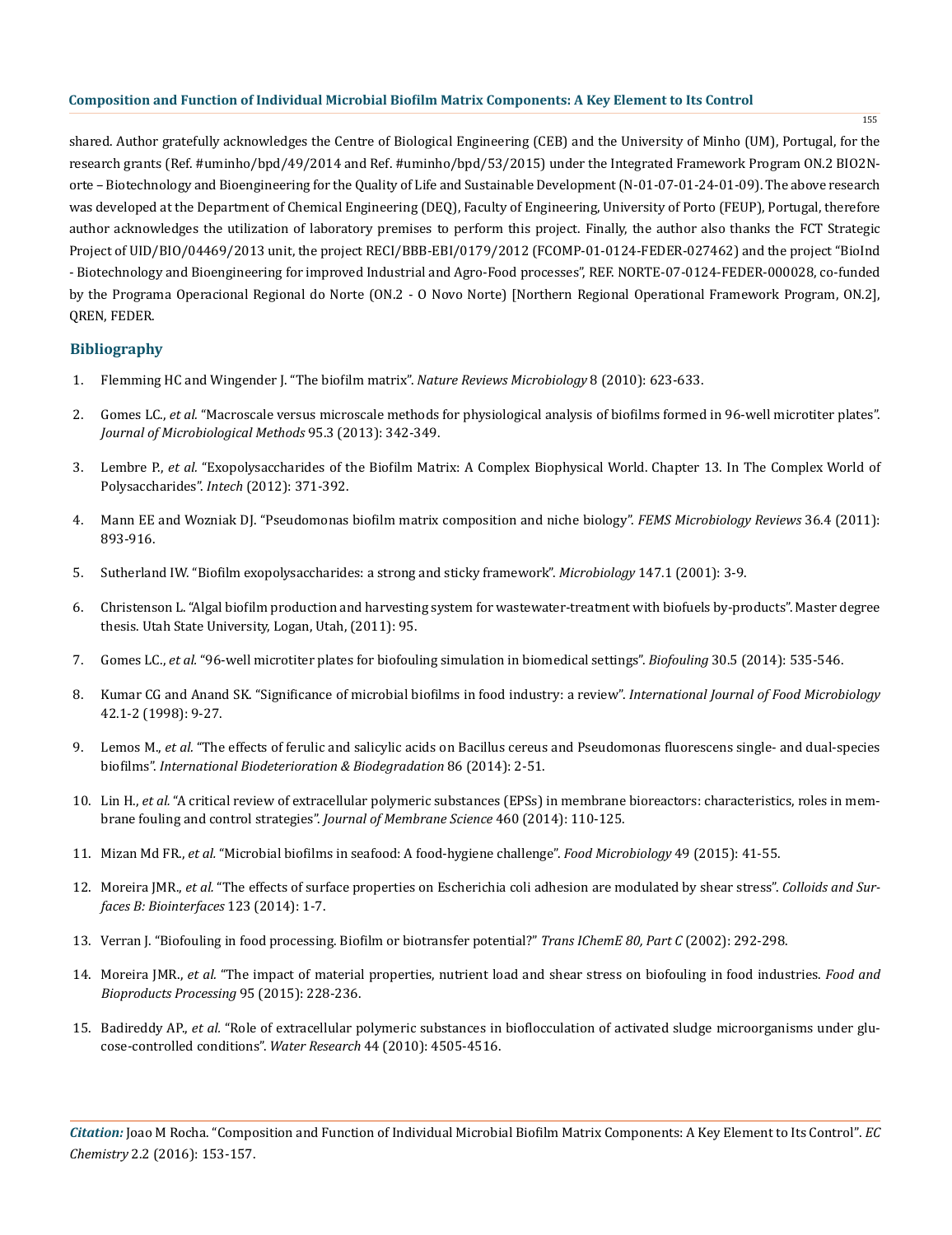shared. Author gratefully acknowledges the Centre of Biological Engineering (CEB) and the University of Minho (UM), Portugal, for the research grants (Ref. #uminho/bpd/49/2014 and Ref. #uminho/bpd/53/2015) under the Integrated Framework Program ON.2 BIO2Norte – Biotechnology and Bioengineering for the Quality of Life and Sustainable Development (N‐01‐07‐01‐24‐01‐09). The above research was developed at the Department of Chemical Engineering (DEQ), Faculty of Engineering, University of Porto (FEUP), Portugal, therefore author acknowledges the utilization of laboratory premises to perform this project. Finally, the author also thanks the FCT Strategic Project of UID/BIO/04469/2013 unit, the project RECI/BBB‐EBI/0179/2012 (FCOMP‐01‐0124‐FEDER‐027462) and the project "BioInd - Biotechnology and Bioengineering for improved Industrial and Agro‐Food processes", REF. NORTE‐07‐0124‐FEDER‐000028, co‐funded by the Programa Operacional Regional do Norte (ON.2 - O Novo Norte) [Northern Regional Operational Framework Program, ON.2], QREN, FEDER.

# **Bibliography**

- 1. [Flemming HC and Wingender J. "The biofilm matrix".](http://www.nature.com/nrmicro/journal/v8/n9/abs/nrmicro2415.html) *Nature Reviews Microbiology* 8 (2010): 623-633.
- 2. Gomes LC., *et al.* ["Macroscale versus microscale methods for physiological analysis of biofilms formed in 96-well microtiter plates".](http://www.ncbi.nlm.nih.gov/pubmed/24140575) *[Journal of Microbiological Methods](http://www.ncbi.nlm.nih.gov/pubmed/24140575)* 95.3 (2013): 342-349.
- 3. Lembre P., *et al.* ["Exopolysaccharides of the Biofilm Matrix: A Complex Biophysical World. Chapter 13. In The Complex World of](http://www.intechopen.com/books/the-complex-world-of-polysaccharides/exopolysaccharides-of-the-biofilm-matrix-a-complex-biophysical-world) Polysaccharides". *Intech* [\(2012\): 371-392.](http://www.intechopen.com/books/the-complex-world-of-polysaccharides/exopolysaccharides-of-the-biofilm-matrix-a-complex-biophysical-world)
- 4. [Mann EE and Wozniak DJ. "Pseudomonas biofilm matrix composition and niche biology".](http://www.ncbi.nlm.nih.gov/pubmed/22212072) *FEMS Microbiology Reviews* 36.4 (2011): [893-916.](http://www.ncbi.nlm.nih.gov/pubmed/22212072)
- 5. [Sutherland IW. "Biofilm exopolysaccharides: a strong and sticky framework".](http://www.ncbi.nlm.nih.gov/pubmed/11160795) *Microbiology* 147.1 (2001): 3-9.
- 6. Christenson L. "Algal biofilm production and harvesting system for wastewater-treatment with biofuels by-products". Master degree thesis. Utah State University, Logan, Utah, (2011): 95.
- 7. Gomes LC., *et al.* ["96-well microtiter plates for biofouling simulation in biomedical settings".](http://www.ncbi.nlm.nih.gov/pubmed/24684538) *Biofouling* 30.5 (2014): 535-546.
- 8. [Kumar CG and Anand SK. "Significance of microbial biofilms in food industry: a review".](http://www.ncbi.nlm.nih.gov/pubmed/9706794) *International Journal of Food Microbiology* [42.1-2 \(1998\): 9-27.](http://www.ncbi.nlm.nih.gov/pubmed/9706794)
- 9. Lemos M., *et al.* ["The effects of ferulic and salicylic acids on Bacillus cereus and Pseudomonas fluorescens single- and dual-species](http://www.sciencedirect.com/science/article/pii/S0964830513002242) biofilms". *[International Biodeterioration & Biodegradation](http://www.sciencedirect.com/science/article/pii/S0964830513002242)* 86 (2014): 2-51.
- 10. Lin H., *et al.* ["A critical review of extracellular polymeric substances \(EPSs\) in membrane bioreactors: characteristics, roles in mem](http://www.sciencedirect.com/science/article/pii/S0376738814001586)[brane fouling and control strategies".](http://www.sciencedirect.com/science/article/pii/S0376738814001586) *Journal of Membrane Science* 460 (2014): 110-125.
- 11. Mizan Md FR., *et al.* ["Microbial biofilms in seafood: A food-hygiene challenge".](http://www.sciencedirect.com/science/article/pii/S0740002015000131) *Food Microbiology* 49 (2015): 41-55.
- 12. Moreira JMR., *et al.* ["The effects of surface properties on Escherichia coli adhesion are modulated by shear stress".](http://www.ncbi.nlm.nih.gov/pubmed/25218513) *Colloids and Sur[faces B: Biointerfaces](http://www.ncbi.nlm.nih.gov/pubmed/25218513)* 123 (2014): 1-7.
- 13. [Verran J. "Biofouling in food processing. Biofilm or biotransfer potential?"](http://www.sciencedirect.com/science/article/pii/S0960308502703362) *Trans IChemE 80, Part C* (2002): 292-298.
- 14. Moreira JMR., *et al.* ["The impact of material properties, nutrient load and shear stress on biofouling in food industries.](http://www.sciencedirect.com/science/article/pii/S096030851500067X) *Food and [Bioproducts Processing](http://www.sciencedirect.com/science/article/pii/S096030851500067X)* 95 (2015): 228-236.
- 15. Badireddy AP., *et al.* ["Role of extracellular polymeric substances in bioflocculation of activated sludge microorganisms under glu](http://www.ncbi.nlm.nih.gov/pubmed/20619438)[cose-controlled conditions".](http://www.ncbi.nlm.nih.gov/pubmed/20619438) *Water Research* 44 (2010): 4505-4516.

*Citation:* Joao M Rocha. "Composition and Function of Individual Microbial Biofilm Matrix Components: A Key Element to Its Control". *EC Chemistry* 2.2 (2016): 153-157.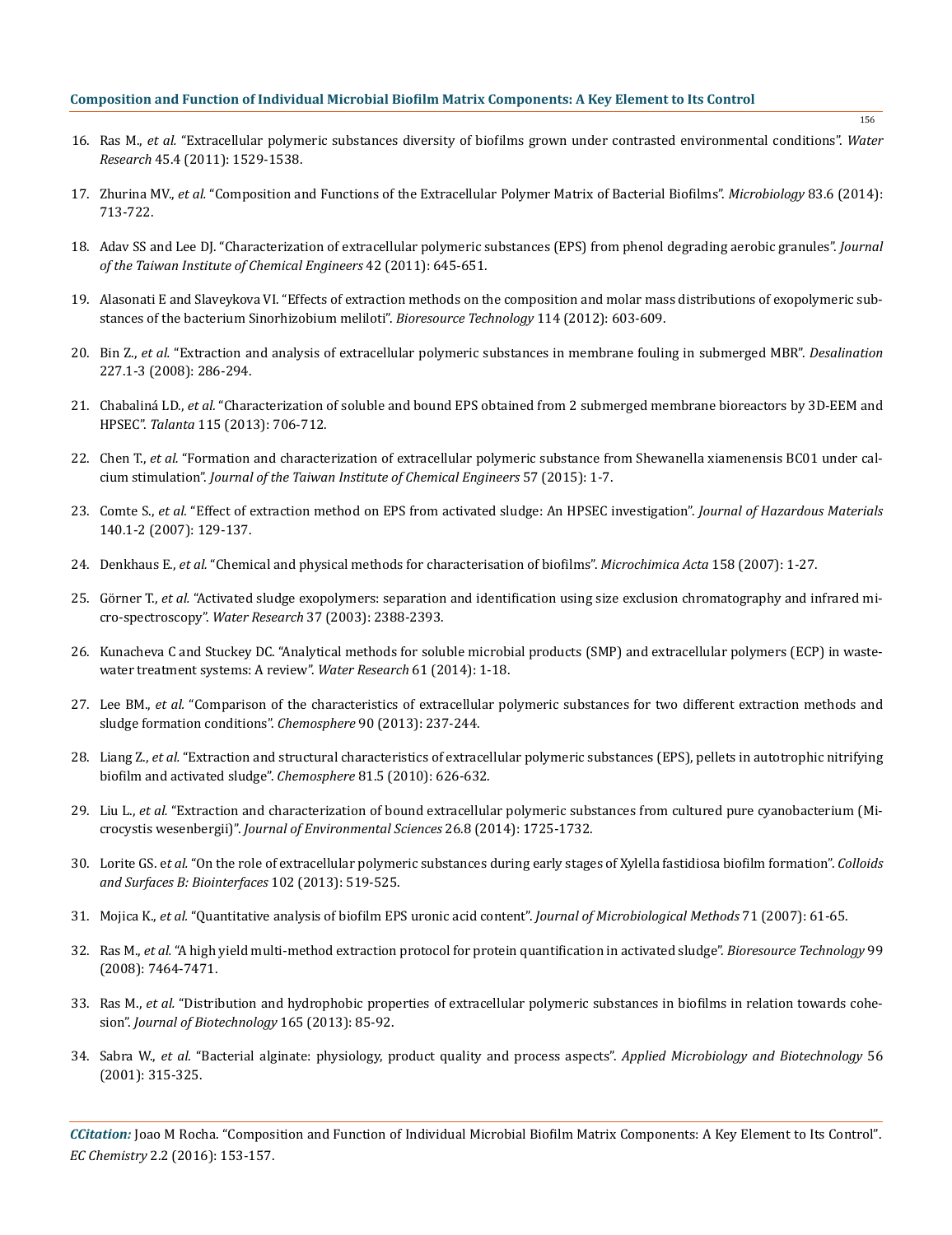- 16. Ras M., *et al.* ["Extracellular polymeric substances diversity of biofilms grown under contrasted environmental conditions".](http://www.ncbi.nlm.nih.gov/pubmed/21193214) *Water Research* [45.4 \(2011\): 1529-1538.](http://www.ncbi.nlm.nih.gov/pubmed/21193214)
- 17. Zhurina MV., *et al.* ["Composition and Functions of the Extracellular Polymer Matrix of Bacterial Biofilms".](http://link.springer.com/article/10.1134/S002626171406023X) *Microbiology* 83.6 (2014): [713-722.](http://link.springer.com/article/10.1134/S002626171406023X)
- 18. [Adav SS and Lee DJ. "Characterization of extracellular polymeric substances \(EPS\) from phenol degrading aerobic granules".](http://www.sciencedirect.com/science/article/pii/S1876107010002270) *Journal [of the Taiwan Institute of Chemical Engineers](http://www.sciencedirect.com/science/article/pii/S1876107010002270)* 42 (2011): 645-651.
- 19. [Alasonati E and Slaveykova VI. "Effects of extraction methods on the composition and molar mass distributions of exopolymeric sub](http://www.ncbi.nlm.nih.gov/pubmed/22507904)[stances of the bacterium Sinorhizobium meliloti".](http://www.ncbi.nlm.nih.gov/pubmed/22507904) *Bioresource Technology* 114 (2012): 603-609.
- 20. Bin Z., *et al.* ["Extraction and analysis of extracellular polymeric substances in membrane fouling in submerged MBR".](http://www.sciencedirect.com/science/article/pii/S0011916408002099) *Desalination* [227.1-3 \(2008\): 286-294.](http://www.sciencedirect.com/science/article/pii/S0011916408002099)
- 21. Chabaliná LD., *et al.* ["Characterization of soluble and bound EPS obtained from 2 submerged membrane bioreactors by 3D-EEM and](http://www.ncbi.nlm.nih.gov/pubmed/24054651)  HPSEC". *Talanta* [115 \(2013\): 706-712.](http://www.ncbi.nlm.nih.gov/pubmed/24054651)
- 22. Chen T., *et al.* ["Formation and characterization of extracellular polymeric substance from Shewanella xiamenensis BC01 under cal](http://www.sciencedirect.com/science/article/pii/S1876107015002382)cium stimulation". *[Journal of the Taiwan Institute of Chemical Engineers](http://www.sciencedirect.com/science/article/pii/S1876107015002382)* 57 (2015): 1-7.
- 23. Comte S., *et al.* ["Effect of extraction method on EPS from activated sludge: An HPSEC investigation".](http://www.sciencedirect.com/science/article/pii/S0304389406006881) *Journal of Hazardous Materials* [140.1-2 \(2007\): 129-137.](http://www.sciencedirect.com/science/article/pii/S0304389406006881)
- 24. Denkhaus E., *et al.* ["Chemical and physical methods for characterisation of biofilms".](http://link.springer.com/article/10.1007/s00604-006-0688-5) *Microchimica Acta* 158 (2007): 1-27.
- 25. Görner T., *et al.* ["Activated sludge exopolymers: separation and identification using size exclusion chromatography and infrared mi](http://www.sciencedirect.com/science/article/pii/S0043135402005535)cro-spectroscopy". *Water Research* [37 \(2003\): 2388-2393.](http://www.sciencedirect.com/science/article/pii/S0043135402005535)
- 26. [Kunacheva C and Stuckey DC. "Analytical methods for soluble microbial products \(SMP\) and extracellular polymers \(ECP\) in waste](http://www.sciencedirect.com/science/article/pii/S0043135414003297)[water treatment systems: A review".](http://www.sciencedirect.com/science/article/pii/S0043135414003297) *Water Research* 61 (2014): 1-18.
- 27. Lee BM., *et al.* ["Comparison of the characteristics of extracellular polymeric substances for two different extraction methods and](http://www.ncbi.nlm.nih.gov/pubmed/22835866)  [sludge formation conditions".](http://www.ncbi.nlm.nih.gov/pubmed/22835866) *Chemosphere* 90 (2013): 237-244.
- 28. Liang Z., *et al.* ["Extraction and structural characteristics of extracellular polymeric substances \(EPS\), pellets in autotrophic nitrifying](http://www.ncbi.nlm.nih.gov/pubmed/20655088) [biofilm and activated sludge".](http://www.ncbi.nlm.nih.gov/pubmed/20655088) *Chemosphere* 81.5 (2010): 626-632.
- 29. Liu L., *et al.* ["Extraction and characterization of bound extracellular polymeric substances from cultured pure cyanobacterium \(Mi](http://www.sciencedirect.com/science/article/pii/S1001074214000497)crocystis wesenbergii)". *[Journal of Environmental Sciences](http://www.sciencedirect.com/science/article/pii/S1001074214000497)* 26.8 (2014): 1725-1732.
- 30. Lorite GS. e*t al.* ["On the role of extracellular polymeric substances during early stages of Xylella fastidiosa biofilm formation".](http://www.ncbi.nlm.nih.gov/pubmed/23164974) *Colloids [and Surfaces B: Biointerfaces](http://www.ncbi.nlm.nih.gov/pubmed/23164974)* 102 (2013): 519-525.
- 31. Mojica K., *et al.* ["Quantitative analysis of biofilm EPS uronic acid content".](http://www.ncbi.nlm.nih.gov/pubmed/17822791) *Journal of Microbiological Methods* 71 (2007): 61-65.
- 32. Ras M., *et al.* ["A high yield multi-method extraction protocol for protein quantification in activated sludge".](http://www.ncbi.nlm.nih.gov/pubmed/18396040) *Bioresource Technology* 99 [\(2008\): 7464-7471.](http://www.ncbi.nlm.nih.gov/pubmed/18396040)
- 33. Ras M., *et al.* ["Distribution and hydrophobic properties of extracellular polymeric substances in biofilms in relation towards cohe](http://www.ncbi.nlm.nih.gov/pubmed/23524058)sion". *[Journal of Biotechnology](http://www.ncbi.nlm.nih.gov/pubmed/23524058)* 165 (2013): 85-92.
- 34. Sabra W., *et al.* ["Bacterial alginate: physiology, product quality and process aspects".](http://www.ncbi.nlm.nih.gov/pubmed/11548998) *Applied Microbiology and Biotechnology* 56 [\(2001\): 315-325.](http://www.ncbi.nlm.nih.gov/pubmed/11548998)

*CCitation:* Joao M Rocha. "Composition and Function of Individual Microbial Biofilm Matrix Components: A Key Element to Its Control". *EC Chemistry* 2.2 (2016): 153-157.